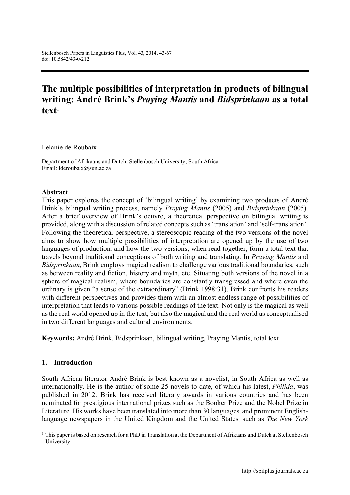# The multiple possibilities of interpretation in products of bilingual writing: André Brink's *Praying Mantis* and *Bidsprinkaan* as a total  $text{text}^1$

Lelanie de Roubaix

Department of Afrikaans and Dutch, Stellenbosch University, South Africa Email: [lderoubaix@sun.ac.za](mailto:lderoubaix@sun.ac.za)

#### Abstract

This paper explores the concept of 'bilingual writing' by examining two products of André Brink's bilingual writing process, namely *Praying Mantis* (2005) and *Bidsprinkaan* (2005). After a brief overview of Brink's oeuvre, a theoretical perspective on bilingual writing is provided, along with a discussion of related concepts such as 'translation' and 'self-translation'. Following the theoretical perspective, a stereoscopic reading of the two versions of the novel aims to show how multiple possibilities of interpretation are opened up by the use of two languages of production, and how the two versions, when read together, form a total text that travels beyond traditional conceptions of both writing and translating. In *Praying Mantis* and *Bidsprinkaan*, Brink employs magical realism to challenge various traditional boundaries, such as between reality and fiction, history and myth, etc. Situating both versions of the novel in a sphere of magical realism, where boundaries are constantly transgressed and where even the ordinary is given "a sense of the extraordinary" (Brink 1998:31), Brink confronts his readers with different perspectives and provides them with an almost endless range of possibilities of interpretation that leads to various possible readings of the text. Not only is the magical as well as the real world opened up in the text, but also the magical and the real world as conceptualised in two different languages and cultural environments.

Keywords: André Brink, Bidsprinkaan, bilingual writing, Praying Mantis, total text

#### 1. Introduction

1

South African literator André Brink is best known as a novelist, in South Africa as well as internationally. He is the author of some 25 novels to date, of which his latest, *Philida*, was published in 2012. Brink has received literary awards in various countries and has been nominated for prestigious international prizes such as the Booker Prize and the Nobel Prize in Literature. His works have been translated into more than 30 languages, and prominent Englishlanguage newspapers in the United Kingdom and the United States, such as *The New York* 

 $1$  This paper is based on research for a PhD in Translation at the Department of Afrikaans and Dutch at Stellenbosch University.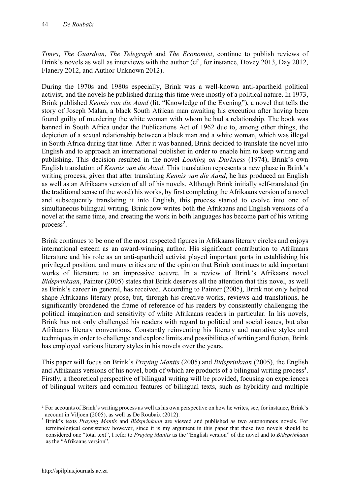*Times*, *The Guardian*, *The Telegraph* and *The Economist*, continue to publish reviews of Brink's novels as well as interviews with the author (cf., for instance, Dovey 2013, Day 2012, Flanery 2012, and Author Unknown 2012).

During the 1970s and 1980s especially, Brink was a well-known anti-apartheid political activist, and the novels he published during this time were mostly of a political nature. In 1973, Brink published *Kennis van die Aand* (lit. "Knowledge of the Evening"), a novel that tells the story of Joseph Malan, a black South African man awaiting his execution after having been found guilty of murdering the white woman with whom he had a relationship. The book was banned in South Africa under the Publications Act of 1962 due to, among other things, the depiction of a sexual relationship between a black man and a white woman, which was illegal in South Africa during that time. After it was banned, Brink decided to translate the novel into English and to approach an international publisher in order to enable him to keep writing and publishing. This decision resulted in the novel *Looking on Darkness* (1974), Brink's own English translation of *Kennis van die Aand*. This translation represents a new phase in Brink's writing process, given that after translating *Kennis van die Aand*, he has produced an English as well as an Afrikaans version of all of his novels. Although Brink initially self-translated (in the traditional sense of the word) his works, by first completing the Afrikaans version of a novel and subsequently translating it into English, this process started to evolve into one of simultaneous bilingual writing. Brink now writes both the Afrikaans and English versions of a novel at the same time, and creating the work in both languages has become part of his writing process<sup>2</sup>.

Brink continues to be one of the most respected figures in Afrikaans literary circles and enjoys international esteem as an award-winning author. His significant contribution to Afrikaans literature and his role as an anti-apartheid activist played important parts in establishing his privileged position, and many critics are of the opinion that Brink continues to add important works of literature to an impressive oeuvre. In a review of Brink's Afrikaans novel *Bidsprinkaan*, Painter (2005) states that Brink deserves all the attention that this novel, as well as Brink's career in general, has received. According to Painter (2005), Brink not only helped shape Afrikaans literary prose, but, through his creative works, reviews and translations, he significantly broadened the frame of reference of his readers by consistently challenging the political imagination and sensitivity of white Afrikaans readers in particular. In his novels, Brink has not only challenged his readers with regard to political and social issues, but also Afrikaans literary conventions. Constantly reinventing his literary and narrative styles and techniques in order to challenge and explore limits and possibilities of writing and fiction, Brink has employed various literary styles in his novels over the years.

This paper will focus on Brink's *Praying Mantis* (2005) and *Bidsprinkaan* (2005), the English and Afrikaans versions of his novel, both of which are products of a bilingual writing process<sup>3</sup>. Firstly, a theoretical perspective of bilingual writing will be provided, focusing on experiences of bilingual writers and common features of bilingual texts, such as hybridity and multiple

1

<sup>&</sup>lt;sup>2</sup> For accounts of Brink's writing process as well as his own perspective on how he writes, see, for instance, Brink's account in Viljoen (2005), as well as De Roubaix (2012).

<sup>3</sup> Brink's texts *Praying Mantis* and *Bidsprinkaan* are viewed and published as two autonomous novels. For terminological consistency however, since it is my argument in this paper that these two novels should be considered one "total text", I refer to *Praying Mantis* as the "English version" of the novel and to *Bidsprinkaan*  as the "Afrikaans version".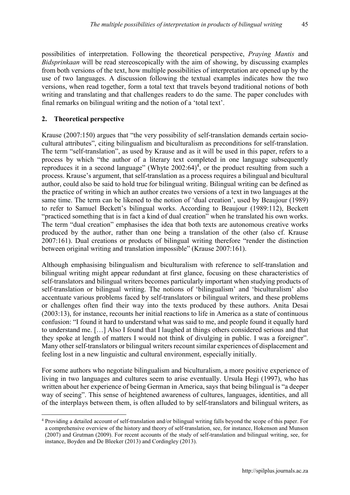possibilities of interpretation. Following the theoretical perspective, *Praying Mantis* and *Bidsprinkaan* will be read stereoscopically with the aim of showing, by discussing examples from both versions of the text, how multiple possibilities of interpretation are opened up by the use of two languages. A discussion following the textual examples indicates how the two versions, when read together, form a total text that travels beyond traditional notions of both writing and translating and that challenges readers to do the same. The paper concludes with final remarks on bilingual writing and the notion of a 'total text'.

## 2. Theoretical perspective

Krause (2007:150) argues that "the very possibility of self-translation demands certain sociocultural attributes", citing bilingualism and biculturalism as preconditions for self-translation. The term "self-translation", as used by Krause and as it will be used in this paper, refers to a process by which "the author of a literary text completed in one language subsequently reproduces it in a second language" (Whyte  $2002:64$ )<sup>4</sup>, or the product resulting from such a process. Krause's argument, that self-translation as a process requires a bilingual and bicultural author, could also be said to hold true for bilingual writing. Bilingual writing can be defined as the practice of writing in which an author creates two versions of a text in two languages at the same time. The term can be likened to the notion of 'dual creation', used by Beaujour (1989) to refer to Samuel Beckett's bilingual works. According to Beaujour (1989:112), Beckett "practiced something that is in fact a kind of dual creation" when he translated his own works. The term "dual creation" emphasises the idea that both texts are autonomous creative works produced by the author, rather than one being a translation of the other (also cf. Krause 2007:161). Dual creations or products of bilingual writing therefore "render the distinction between original writing and translation impossible" (Krause 2007:161).

Although emphasising bilingualism and biculturalism with reference to self-translation and bilingual writing might appear redundant at first glance, focusing on these characteristics of self-translators and bilingual writers becomes particularly important when studying products of self-translation or bilingual writing. The notions of 'bilingualism' and 'biculturalism' also accentuate various problems faced by self-translators or bilingual writers, and these problems or challenges often find their way into the texts produced by these authors. Anita Desai (2003:13), for instance, recounts her initial reactions to life in America as a state of continuous confusion: "I found it hard to understand what was said to me, and people found it equally hard to understand me. […] Also I found that I laughed at things others considered serious and that they spoke at length of matters I would not think of divulging in public. I was a foreigner". Many other self-translators or bilingual writers recount similar experiences of displacement and feeling lost in a new linguistic and cultural environment, especially initially.

For some authors who negotiate bilingualism and biculturalism, a more positive experience of living in two languages and cultures seem to arise eventually. Ursula Hegi (1997), who has written about her experience of being German in America, says that being bilingual is "a deeper way of seeing". This sense of heightened awareness of cultures, languages, identities, and all of the interplays between them, is often alluded to by self-translators and bilingual writers, as

**<sup>.</sup>** <sup>4</sup> Providing a detailed account of self-translation and/or bilingual writing falls beyond the scope of this paper. For a comprehensive overview of the history and theory of self-translation, see, for instance, Hokenson and Munson (2007) and Grutman (2009). For recent accounts of the study of self-translation and bilingual writing, see, for instance, Boyden and De Bleeker (2013) and Cordingley (2013).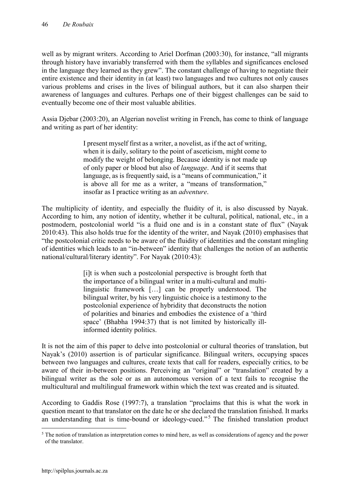well as by migrant writers. According to Ariel Dorfman (2003:30), for instance, "all migrants through history have invariably transferred with them the syllables and significances enclosed in the language they learned as they grew". The constant challenge of having to negotiate their entire existence and their identity in (at least) two languages and two cultures not only causes various problems and crises in the lives of bilingual authors, but it can also sharpen their awareness of languages and cultures. Perhaps one of their biggest challenges can be said to eventually become one of their most valuable abilities.

Assia Djebar (2003:20), an Algerian novelist writing in French, has come to think of language and writing as part of her identity:

> I present myself first as a writer, a novelist, as if the act of writing, when it is daily, solitary to the point of asceticism, might come to modify the weight of belonging. Because identity is not made up of only paper or blood but also of *language*. And if it seems that language, as is frequently said, is a "means of communication," it is above all for me as a writer, a "means of transformation," insofar as I practice writing as an *adventure*.

The multiplicity of identity, and especially the fluidity of it, is also discussed by Nayak. According to him, any notion of identity, whether it be cultural, political, national, etc., in a postmodern, postcolonial world "is a fluid one and is in a constant state of flux" (Nayak 2010:43). This also holds true for the identity of the writer, and Nayak (2010) emphasises that "the postcolonial critic needs to be aware of the fluidity of identities and the constant mingling of identities which leads to an "in-between" identity that challenges the notion of an authentic national/cultural/literary identity". For Nayak (2010:43):

> [i]t is when such a postcolonial perspective is brought forth that the importance of a bilingual writer in a multi-cultural and multilinguistic framework […] can be properly understood. The bilingual writer, by his very linguistic choice is a testimony to the postcolonial experience of hybridity that deconstructs the notion of polarities and binaries and embodies the existence of a 'third space' (Bhabha 1994:37) that is not limited by historically illinformed identity politics.

It is not the aim of this paper to delve into postcolonial or cultural theories of translation, but Nayak's (2010) assertion is of particular significance. Bilingual writers, occupying spaces between two languages and cultures, create texts that call for readers, especially critics, to be aware of their in-between positions. Perceiving an "original" or "translation" created by a bilingual writer as the sole or as an autonomous version of a text fails to recognise the multicultural and multilingual framework within which the text was created and is situated.

According to Gaddis Rose (1997:7), a translation "proclaims that this is what the work in question meant to that translator on the date he or she declared the translation finished. It marks an understanding that is time-bound or ideology-cued."<sup>5</sup> The finished translation product

1

 $<sup>5</sup>$  The notion of translation as interpretation comes to mind here, as well as considerations of agency and the power</sup> of the translator.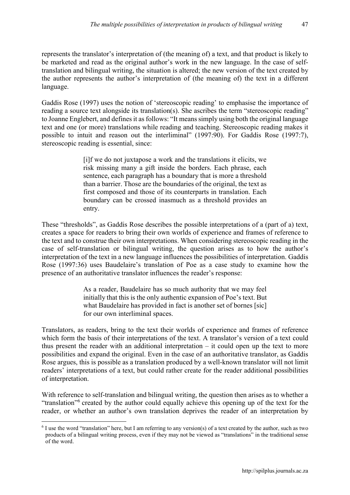represents the translator's interpretation of (the meaning of) a text, and that product is likely to be marketed and read as the original author's work in the new language. In the case of selftranslation and bilingual writing, the situation is altered; the new version of the text created by the author represents the author's interpretation of (the meaning of) the text in a different language.

Gaddis Rose (1997) uses the notion of 'stereoscopic reading' to emphasise the importance of reading a source text alongside its translation(s). She ascribes the term "stereoscopic reading" to Joanne Englebert, and defines it as follows: "It means simply using both the original language text and one (or more) translations while reading and teaching. Stereoscopic reading makes it possible to intuit and reason out the interliminal" (1997:90). For Gaddis Rose (1997:7), stereoscopic reading is essential, since:

> [i]f we do not juxtapose a work and the translations it elicits, we risk missing many a gift inside the borders. Each phrase, each sentence, each paragraph has a boundary that is more a threshold than a barrier. Those are the boundaries of the original, the text as first composed and those of its counterparts in translation. Each boundary can be crossed inasmuch as a threshold provides an entry.

These "thresholds", as Gaddis Rose describes the possible interpretations of a (part of a) text, creates a space for readers to bring their own worlds of experience and frames of reference to the text and to construe their own interpretations. When considering stereoscopic reading in the case of self-translation or bilingual writing, the question arises as to how the author's interpretation of the text in a new language influences the possibilities of interpretation. Gaddis Rose (1997:36) uses Baudelaire's translation of Poe as a case study to examine how the presence of an authoritative translator influences the reader's response:

> As a reader, Baudelaire has so much authority that we may feel initially that this is the only authentic expansion of Poe's text. But what Baudelaire has provided in fact is another set of bornes [sic] for our own interliminal spaces.

Translators, as readers, bring to the text their worlds of experience and frames of reference which form the basis of their interpretations of the text. A translator's version of a text could thus present the reader with an additional interpretation – it could open up the text to more possibilities and expand the original. Even in the case of an authoritative translator, as Gaddis Rose argues, this is possible as a translation produced by a well-known translator will not limit readers' interpretations of a text, but could rather create for the reader additional possibilities of interpretation.

With reference to self-translation and bilingual writing, the question then arises as to whether a "translation"<sup>6</sup> created by the author could equally achieve this opening up of the text for the reader, or whether an author's own translation deprives the reader of an interpretation by

<sup>1</sup>  $6$  I use the word "translation" here, but I am referring to any version(s) of a text created by the author, such as two products of a bilingual writing process, even if they may not be viewed as "translations" in the traditional sense of the word.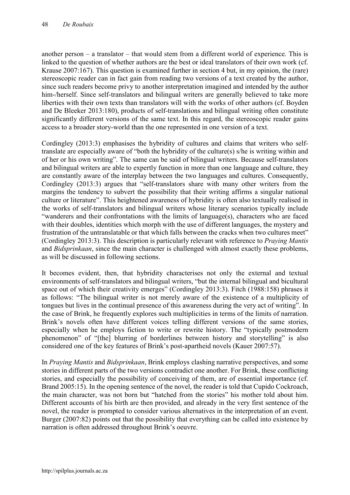another person – a translator – that would stem from a different world of experience. This is linked to the question of whether authors are the best or ideal translators of their own work (cf. Krause 2007:167). This question is examined further in section 4 but, in my opinion, the (rare) stereoscopic reader can in fact gain from reading two versions of a text created by the author, since such readers become privy to another interpretation imagined and intended by the author him-/herself. Since self-translators and bilingual writers are generally believed to take more liberties with their own texts than translators will with the works of other authors (cf. Boyden and De Bleeker 2013:180), products of self-translations and bilingual writing often constitute significantly different versions of the same text. In this regard, the stereoscopic reader gains access to a broader story-world than the one represented in one version of a text.

Cordingley (2013:3) emphasises the hybridity of cultures and claims that writers who selftranslate are especially aware of "both the hybridity of the culture(s) s/he is writing within and of her or his own writing". The same can be said of bilingual writers. Because self-translators and bilingual writers are able to expertly function in more than one language and culture, they are constantly aware of the interplay between the two languages and cultures. Consequently, Cordingley (2013:3) argues that "self-translators share with many other writers from the margins the tendency to subvert the possibility that their writing affirms a singular national culture or literature". This heightened awareness of hybridity is often also textually realised in the works of self-translators and bilingual writers whose literary scenarios typically include "wanderers and their confrontations with the limits of language(s), characters who are faced with their doubles, identities which morph with the use of different languages, the mystery and frustration of the untranslatable or that which falls between the cracks when two cultures meet" (Cordingley 2013:3). This description is particularly relevant with reference to *Praying Mantis*  and *Bidsprinkaan*, since the main character is challenged with almost exactly these problems, as will be discussed in following sections.

It becomes evident, then, that hybridity characterises not only the external and textual environments of self-translators and bilingual writers, "but the internal bilingual and bicultural space out of which their creativity emerges" (Cordingley 2013:3). Fitch (1988:158) phrases it as follows: "The bilingual writer is not merely aware of the existence of a multiplicity of tongues but lives in the continual presence of this awareness during the very act of writing". In the case of Brink, he frequently explores such multiplicities in terms of the limits of narration. Brink's novels often have different voices telling different versions of the same stories, especially when he employs fiction to write or rewrite history. The "typically postmodern phenomenon" of "[the] blurring of borderlines between history and storytelling" is also considered one of the key features of Brink's post-apartheid novels (Kauer 2007:57).

In *Praying Mantis* and *Bidsprinkaan*, Brink employs clashing narrative perspectives, and some stories in different parts of the two versions contradict one another. For Brink, these conflicting stories, and especially the possibility of conceiving of them, are of essential importance (cf. Brand 2005:15). In the opening sentence of the novel, the reader is told that Cupido Cockroach, the main character, was not born but "hatched from the stories" his mother told about him. Different accounts of his birth are then provided, and already in the very first sentence of the novel, the reader is prompted to consider various alternatives in the interpretation of an event. Burger (2007:82) points out that the possibility that everything can be called into existence by narration is often addressed throughout Brink's oeuvre.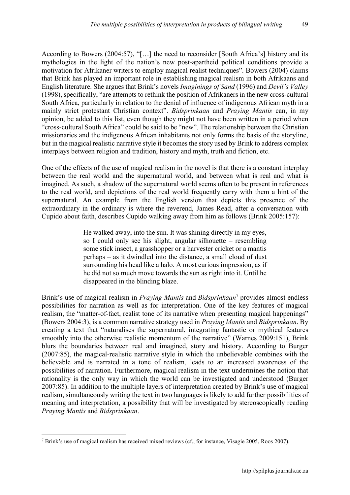According to Bowers (2004:57), "[…] the need to reconsider [South Africa's] history and its mythologies in the light of the nation's new post-apartheid political conditions provide a motivation for Afrikaner writers to employ magical realist techniques". Bowers (2004) claims that Brink has played an important role in establishing magical realism in both Afrikaans and English literature. She argues that Brink's novels *Imaginings of Sand* (1996) and *Devil's Valley*  (1998), specifically, "are attempts to rethink the position of Afrikaners in the new cross-cultural

South Africa, particularly in relation to the denial of influence of indigenous African myth in a mainly strict protestant Christian context". *Bidsprinkaan* and *Praying Mantis* can, in my opinion, be added to this list, even though they might not have been written in a period when "cross-cultural South Africa" could be said to be "new". The relationship between the Christian missionaries and the indigenous African inhabitants not only forms the basis of the storyline, but in the magical realistic narrative style it becomes the story used by Brink to address complex interplays between religion and tradition, history and myth, truth and fiction, etc.

One of the effects of the use of magical realism in the novel is that there is a constant interplay between the real world and the supernatural world, and between what is real and what is imagined. As such, a shadow of the supernatural world seems often to be present in references to the real world, and depictions of the real world frequently carry with them a hint of the supernatural. An example from the English version that depicts this presence of the extraordinary in the ordinary is where the reverend, James Read, after a conversation with Cupido about faith, describes Cupido walking away from him as follows (Brink 2005:157):

> He walked away, into the sun. It was shining directly in my eyes, so I could only see his slight, angular silhouette – resembling some stick insect, a grasshopper or a harvester cricket or a mantis perhaps – as it dwindled into the distance, a small cloud of dust surrounding his head like a halo. A most curious impression, as if he did not so much move towards the sun as right into it. Until he disappeared in the blinding blaze.

Brink's use of magical realism in *Praying Mantis* and *Bidsprinkaan*<sup>7</sup> provides almost endless possibilities for narration as well as for interpretation. One of the key features of magical realism, the "matter-of-fact, realist tone of its narrative when presenting magical happenings" (Bowers 2004:3), is a common narrative strategy used in *Praying Mantis* and *Bidsprinkaan*. By creating a text that "naturalises the supernatural, integrating fantastic or mythical features smoothly into the otherwise realistic momentum of the narrative" (Warnes 2009:151), Brink blurs the boundaries between real and imagined, story and history. According to Burger (2007:85), the magical-realistic narrative style in which the unbelievable combines with the believable and is narrated in a tone of realism, leads to an increased awareness of the possibilities of narration. Furthermore, magical realism in the text undermines the notion that rationality is the only way in which the world can be investigated and understood (Burger 2007:85). In addition to the multiple layers of interpretation created by Brink's use of magical realism, simultaneously writing the text in two languages is likely to add further possibilities of meaning and interpretation, a possibility that will be investigated by stereoscopically reading *Praying Mantis* and *Bidsprinkaan*.

 $\overline{a}$ <sup>7</sup> Brink's use of magical realism has received mixed reviews (cf., for instance, Visagie 2005, Roos 2007).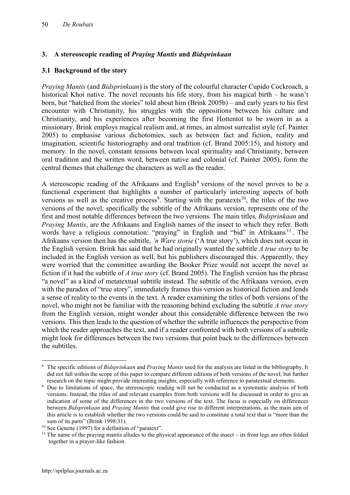## 3. A stereoscopic reading of *Praying Mantis* and *Bidsprinkaan*

## 3.1 Background of the story

*Praying Mantis* (and *Bidsprinkaan*) is the story of the colourful character Cupido Cockroach, a historical Khoi native. The novel recounts his life story, from his magical birth – he wasn't born, but "hatched from the stories" told about him (Brink 2005b) – and early years to his first encounter with Christianity, his struggles with the oppositions between his culture and Christianity, and his experiences after becoming the first Hottentot to be sworn in as a missionary. Brink employs magical realism and, at times, an almost surrealist style (cf. Painter 2005) to emphasise various dichotomies, such as between fact and fiction, reality and imagination, scientific historiography and oral tradition (cf. Brand 2005:15), and history and memory. In the novel, constant tensions between local spirituality and Christianity, between oral tradition and the written word, between native and colonial (cf. Painter 2005), form the central themes that challenge the characters as well as the reader.

A stereoscopic reading of the Afrikaans and English<sup>8</sup> versions of the novel proves to be a functional experiment that highlights a number of particularly interesting aspects of both versions as well as the creative process<sup>9</sup>. Starting with the paratexts<sup>10</sup>, the titles of the two versions of the novel, specifically the subtitle of the Afrikaans version, represents one of the first and most notable differences between the two versions. The main titles, *Bidsprinkaan* and *Praying Mantis*, are the Afrikaans and English names of the insect to which they refer. Both words have a religious connotation: "praying" in English and "bid" in Afrikaans<sup>11</sup>. The Afrikaans version then has the subtitle, *'n Ware storie* ('A true story'), which does not occur in the English version. Brink has said that he had originally wanted the subtitle *A true story* to be included in the English version as well, but his publishers discouraged this. Apparently, they were worried that the committee awarding the Booker Prize would not accept the novel as fiction if it had the subtitle of *A true story* (cf. Brand 2005). The English version has the phrase "a novel" as a kind of metatextual subtitle instead. The subtitle of the Afrikaans version, even with the paradox of "true story", immediately frames this version as historical fiction and lends a sense of reality to the events in the text. A reader examining the titles of both versions of the novel, who might not be familiar with the reasoning behind excluding the subtitle *A true story* from the English version, might wonder about this considerable difference between the two versions. This then leads to the question of whether the subtitle influences the perspective from which the reader approaches the text, and if a reader confronted with both versions of a subtitle might look for differences between the two versions that point back to the differences between the subtitles.

<sup>1</sup> <sup>8</sup> The specific editions of *Bidsprinkaan* and *Praying Mantis* used for the analysis are listed in the bibliography. It did not fall within the scope of this paper to compare different editions of both versions of the novel, but further research on the topic might provide interesting insights, especially with reference to paratextual elements.

<sup>&</sup>lt;sup>9</sup> Due to limitations of space, the stereoscopic reading will not be conducted as a systematic analysis of both versions. Instead, the titles of and relevant examples from both versions will be discussed in order to give an indication of some of the differences in the two versions of the text. The focus is especially on differences between *Bidsprinkaan* and *Praying Mantis* that could give rise to different interpretations, as the main aim of this article is to establish whether the two versions could be said to constitute a total text that is "more than the sum of its parts" (Brink 1998:31).

<sup>&</sup>lt;sup>10</sup> See Genette (1997) for a definition of "paratext".

 $11$  The name of the praying mantis alludes to the physical appearance of the insect – its front legs are often folded together in a prayer-like fashion.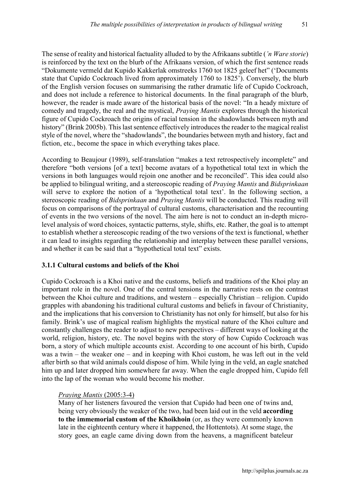The sense of reality and historical factuality alluded to by the Afrikaans subtitle (*'n Ware storie*) is reinforced by the text on the blurb of the Afrikaans version, of which the first sentence reads "Dokumente vermeld dat Kupido Kakkerlak omstreeks 1760 tot 1825 geleef het" ('Documents state that Cupido Cockroach lived from approximately 1760 to 1825'). Conversely, the blurb of the English version focuses on summarising the rather dramatic life of Cupido Cockroach, and does not include a reference to historical documents. In the final paragraph of the blurb, however, the reader is made aware of the historical basis of the novel: "In a heady mixture of comedy and tragedy, the real and the mystical, *Praying Mantis* explores through the historical figure of Cupido Cockroach the origins of racial tension in the shadowlands between myth and history" (Brink 2005b). This last sentence effectively introduces the reader to the magical realist style of the novel, where the "shadowlands", the boundaries between myth and history, fact and fiction, etc., become the space in which everything takes place.

According to Beaujour (1989), self-translation "makes a text retrospectively incomplete" and therefore "both versions [of a text] become avatars of a hypothetical total text in which the versions in both languages would rejoin one another and be reconciled". This idea could also be applied to bilingual writing, and a stereoscopic reading of *Praying Mantis* and *Bidsprinkaan*  will serve to explore the notion of a 'hypothetical total text'. In the following section, a stereoscopic reading of *Bidsprinkaan* and *Praying Mantis* will be conducted. This reading will focus on comparisons of the portrayal of cultural customs, characterisation and the recounting of events in the two versions of the novel. The aim here is not to conduct an in-depth microlevel analysis of word choices, syntactic patterns, style, shifts, etc. Rather, the goal is to attempt to establish whether a stereoscopic reading of the two versions of the text is functional, whether it can lead to insights regarding the relationship and interplay between these parallel versions, and whether it can be said that a "hypothetical total text" exists.

## 3.1.1 Cultural customs and beliefs of the Khoi

Cupido Cockroach is a Khoi native and the customs, beliefs and traditions of the Khoi play an important role in the novel. One of the central tensions in the narrative rests on the contrast between the Khoi culture and traditions, and western – especially Christian – religion. Cupido grapples with abandoning his traditional cultural customs and beliefs in favour of Christianity, and the implications that his conversion to Christianity has not only for himself, but also for his family. Brink's use of magical realism highlights the mystical nature of the Khoi culture and constantly challenges the reader to adjust to new perspectives – different ways of looking at the world, religion, history, etc. The novel begins with the story of how Cupido Cockroach was born, a story of which multiple accounts exist. According to one account of his birth, Cupido was a twin – the weaker one – and in keeping with Khoi custom, he was left out in the veld after birth so that wild animals could dispose of him. While lying in the veld, an eagle snatched him up and later dropped him somewhere far away. When the eagle dropped him, Cupido fell into the lap of the woman who would become his mother.

## *Praying Mantis* (2005:3-4)

Many of her listeners favoured the version that Cupido had been one of twins and, being very obviously the weaker of the two, had been laid out in the veld **according** to the immemorial custom of the Khoikhoin (or, as they were commonly known late in the eighteenth century where it happened, the Hottentots). At some stage, the story goes, an eagle came diving down from the heavens, a magnificent bateleur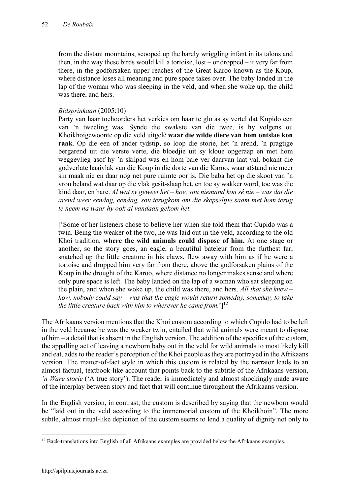from the distant mountains, scooped up the barely wriggling infant in its talons and then, in the way these birds would kill a tortoise, lost – or dropped – it very far from there, in the godforsaken upper reaches of the Great Karoo known as the Koup, where distance loses all meaning and pure space takes over. The baby landed in the lap of the woman who was sleeping in the veld, and when she woke up, the child was there, and hers.

#### *Bidsprinkaan* (2005:10)

Party van haar toehoorders het verkies om haar te glo as sy vertel dat Kupido een van 'n tweeling was. Synde die swakste van die twee, is hy volgens ou Khoikhoigewoonte op die veld uitgelê waar die wilde diere van hom ontslae kon raak. Op die een of ander tydstip, so loop die storie, het 'n arend, 'n pragtige bergarend uit die verste verte, die bloedjie uit sy kloue opgeraap en met hom weggevlieg asof hy 'n skilpad was en hom baie ver daarvan laat val, bokant die godverlate haaivlak van die Koup in die dorte van die Karoo, waar afstand nie meer sin maak nie en daar nog net pure ruimte oor is. Die baba het op die skoot van 'n vrou beland wat daar op die vlak gesit-slaap het, en toe sy wakker word, toe was die kind daar, en hare. *Al wat sy geweet het – hoe, sou niemand kon sê nie – was dat die arend weer eendag, eendag, sou terugkom om die skepseltjie saam met hom terug te neem na waar hy ook al vandaan gekom het.*

['Some of her listeners chose to believe her when she told them that Cupido was a twin. Being the weaker of the two, he was laid out in the veld, according to the old Khoi tradition, where the wild animals could dispose of him. At one stage or another, so the story goes, an eagle, a beautiful bateleur from the furthest far, snatched up the little creature in his claws, flew away with him as if he were a tortoise and dropped him very far from there, above the godforsaken plains of the Koup in the drought of the Karoo, where distance no longer makes sense and where only pure space is left. The baby landed on the lap of a woman who sat sleeping on the plain, and when she woke up, the child was there, and hers. *All that she knew – how, nobody could say – was that the eagle would return someday, someday, to take the little creature back with him to wherever he came from.*'] 12

The Afrikaans version mentions that the Khoi custom according to which Cupido had to be left in the veld because he was the weaker twin, entailed that wild animals were meant to dispose of him – a detail that is absent in the English version. The addition of the specifics of the custom, the appalling act of leaving a newborn baby out in the veld for wild animals to most likely kill and eat, adds to the reader's perception of the Khoi people as they are portrayed in the Afrikaans version. The matter-of-fact style in which this custom is related by the narrator leads to an almost factual, textbook-like account that points back to the subtitle of the Afrikaans version, *'n Ware storie* ('A true story'). The reader is immediately and almost shockingly made aware of the interplay between story and fact that will continue throughout the Afrikaans version.

In the English version, in contrast, the custom is described by saying that the newborn would be "laid out in the veld according to the immemorial custom of the Khoikhoin". The more subtle, almost ritual-like depiction of the custom seems to lend a quality of dignity not only to

 $\overline{a}$ <sup>12</sup> Back-translations into English of all Afrikaans examples are provided below the Afrikaans examples.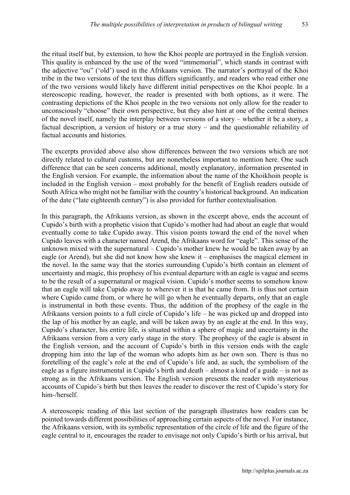the ritual itself but, by extension, to how the Khoi people are portrayed in the English version. This quality is enhanced by the use of the word "immemorial", which stands in contrast with the adjective "ou" ('old') used in the Afrikaans version. The narrator's portrayal of the Khoi tribe in the two versions of the text thus differs significantly, and readers who read either one of the two versions would likely have different initial perspectives on the Khoi people. In a stereoscopic reading, however, the reader is presented with both options, as it were. The contrasting depictions of the Khoi people in the two versions not only allow for the reader to unconsciously "choose" their own perspective, but they also hint at one of the central themes of the novel itself, namely the interplay between versions of a story – whether it be a story, a factual description, a version of history or a true story – and the questionable reliability of factual accounts and histories.

The excerpts provided above also show differences between the two versions which are not directly related to cultural customs, but are nonetheless important to mention here. One such difference that can be seen concerns additional, mostly explanatory, information presented in the English version. For example, the information about the name of the Khoikhoin people is included in the English version – most probably for the benefit of English readers outside of South Africa who might not be familiar with the country's historical background. An indication of the date ("late eighteenth century") is also provided for further contextualisation.

In this paragraph, the Afrikaans version, as shown in the excerpt above, ends the account of Cupido's birth with a prophetic vision that Cupido's mother had had about an eagle that would eventually come to take Cupido away. This vision points toward the end of the novel when Cupido leaves with a character named Arend, the Afrikaans word for "eagle". This sense of the unknown mixed with the supernatural – Cupido's mother knew he would be taken away by an eagle (or Arend), but she did not know how she knew it – emphasises the magical element in the novel. In the same way that the stories surrounding Cupido's birth contain an element of uncertainty and magic, this prophesy of his eventual departure with an eagle is vague and seems to be the result of a supernatural or magical vision. Cupido's mother seems to somehow know that an eagle will take Cupido away to wherever it is that he came from. It is thus not certain where Cupido came from, or where he will go when he eventually departs, only that an eagle is instrumental in both these events. Thus, the addition of the prophesy of the eagle in the Afrikaans version points to a full circle of Cupido's life – he was picked up and dropped into the lap of his mother by an eagle, and will be taken away by an eagle at the end. In this way, Cupido's character, his entire life, is situated within a sphere of magic and uncertainty in the Afrikaans version from a very early stage in the story. The prophesy of the eagle is absent in the English version, and the account of Cupido's birth in this version ends with the eagle dropping him into the lap of the woman who adopts him as her own son. There is thus no foretelling of the eagle's role at the end of Cupido's life and, as such, the symbolism of the eagle as a figure instrumental in Cupido's birth and death – almost a kind of a guide – is not as strong as in the Afrikaans version. The English version presents the reader with mysterious accounts of Cupido's birth but then leaves the reader to discover the rest of Cupido's story for him-/herself.

A stereoscopic reading of this last section of the paragraph illustrates how readers can be pointed towards different possibilities of approaching certain aspects of the novel. For instance, the Afrikaans version, with its symbolic representation of the circle of life and the figure of the eagle central to it, encourages the reader to envisage not only Cupido's birth or his arrival, but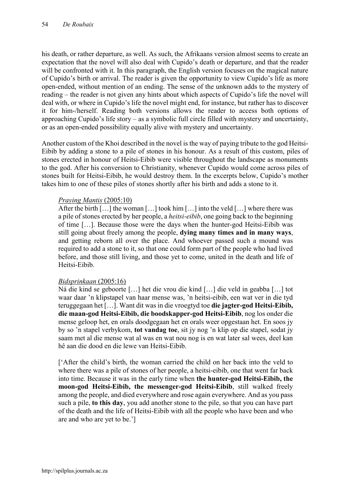his death, or rather departure, as well. As such, the Afrikaans version almost seems to create an expectation that the novel will also deal with Cupido's death or departure, and that the reader will be confronted with it. In this paragraph, the English version focuses on the magical nature of Cupido's birth or arrival. The reader is given the opportunity to view Cupido's life as more open-ended, without mention of an ending. The sense of the unknown adds to the mystery of reading – the reader is not given any hints about which aspects of Cupido's life the novel will deal with, or where in Cupido's life the novel might end, for instance, but rather has to discover it for him-/herself. Reading both versions allows the reader to access both options of approaching Cupido's life story – as a symbolic full circle filled with mystery and uncertainty, or as an open-ended possibility equally alive with mystery and uncertainty.

Another custom of the Khoi described in the novel is the way of paying tribute to the god Heitsi-Eibib by adding a stone to a pile of stones in his honour. As a result of this custom, piles of stones erected in honour of Heitsi-Eibib were visible throughout the landscape as monuments to the god. After his conversion to Christianity, whenever Cupido would come across piles of stones built for Heitsi-Eibib, he would destroy them. In the excerpts below, Cupido's mother takes him to one of these piles of stones shortly after his birth and adds a stone to it.

## *Praying Mantis* (2005:10)

After the birth […] the woman […] took him […] into the veld […] where there was a pile of stones erected by her people, a *heitsi-eibib*, one going back to the beginning of time […]. Because those were the days when the hunter-god Heitsi-Eibib was still going about freely among the people, dying many times and in many ways, and getting reborn all over the place. And whoever passed such a mound was required to add a stone to it, so that one could form part of the people who had lived before, and those still living, and those yet to come, united in the death and life of Heitsi-Eibib.

## *Bidsprinkaan* (2005:16)

Ná die kind se geboorte […] het die vrou die kind […] die veld in geabba […] tot waar daar 'n klipstapel van haar mense was, 'n heitsi-eibib, een wat ver in die tyd teruggegaan het […]. Want dit was in die vroegtyd toe die jagter-god Heitsi-Eibib, die maan-god Heitsi-Eibib, die boodskapper-god Heitsi-Eibib, nog los onder die mense geloop het, en orals doodgegaan het en orals weer opgestaan het. En soos jy by so 'n stapel verbykom, tot vandag toe, sit jy nog 'n klip op die stapel, sodat jy saam met al die mense wat al was en wat nou nog is en wat later sal wees, deel kan hê aan die dood en die lewe van Heitsi-Eibib.

['After the child's birth, the woman carried the child on her back into the veld to where there was a pile of stones of her people, a heitsi-eibib, one that went far back into time. Because it was in the early time when the hunter-god Heitsi-Eibib, the moon-god Heitsi-Eibib, the messenger-god Heitsi-Eibib, still walked freely among the people, and died everywhere and rose again everywhere. And as you pass such a pile, to this day, you add another stone to the pile, so that you can have part of the death and the life of Heitsi-Eibib with all the people who have been and who are and who are yet to be.']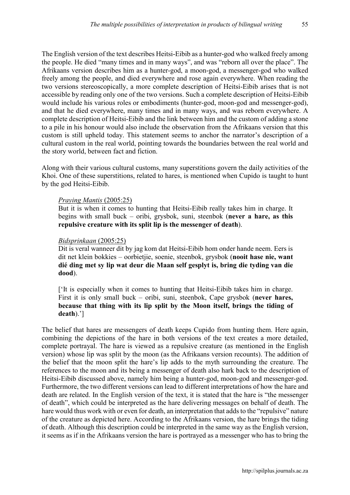The English version of the text describes Heitsi-Eibib as a hunter-god who walked freely among the people. He died "many times and in many ways", and was "reborn all over the place". The Afrikaans version describes him as a hunter-god, a moon-god, a messenger-god who walked freely among the people, and died everywhere and rose again everywhere. When reading the two versions stereoscopically, a more complete description of Heitsi-Eibib arises that is not accessible by reading only one of the two versions. Such a complete description of Heitsi-Eibib would include his various roles or embodiments (hunter-god, moon-god and messenger-god), and that he died everywhere, many times and in many ways, and was reborn everywhere. A complete description of Heitsi-Eibib and the link between him and the custom of adding a stone to a pile in his honour would also include the observation from the Afrikaans version that this custom is still upheld today. This statement seems to anchor the narrator's description of a cultural custom in the real world, pointing towards the boundaries between the real world and the story world, between fact and fiction.

Along with their various cultural customs, many superstitions govern the daily activities of the Khoi. One of these superstitions, related to hares, is mentioned when Cupido is taught to hunt by the god Heitsi-Eibib.

#### *Praying Mantis* (2005:25)

But it is when it comes to hunting that Heitsi-Eibib really takes him in charge. It begins with small buck – oribi, grysbok, suni, steenbok (never a hare, as this repulsive creature with its split lip is the messenger of death).

#### *Bidsprinkaan* (2005:25)

Dit is veral wanneer dit by jag kom dat Heitsi-Eibib hom onder hande neem. Eers is dit net klein bokkies – oorbietjie, soenie, steenbok, grysbok (nooit hase nie, want dié ding met sy lip wat deur die Maan self gesplyt is, bring die tyding van die dood).

['It is especially when it comes to hunting that Heitsi-Eibib takes him in charge. First it is only small buck – oribi, suni, steenbok, Cape grysbok (never hares, because that thing with its lip split by the Moon itself, brings the tiding of death).']

The belief that hares are messengers of death keeps Cupido from hunting them. Here again, combining the depictions of the hare in both versions of the text creates a more detailed, complete portrayal. The hare is viewed as a repulsive creature (as mentioned in the English version) whose lip was split by the moon (as the Afrikaans version recounts). The addition of the belief that the moon split the hare's lip adds to the myth surrounding the creature. The references to the moon and its being a messenger of death also hark back to the description of Heitsi-Eibib discussed above, namely him being a hunter-god, moon-god and messenger-god. Furthermore, the two different versions can lead to different interpretations of how the hare and death are related. In the English version of the text, it is stated that the hare is "the messenger of death", which could be interpreted as the hare delivering messages on behalf of death. The hare would thus work with or even for death, an interpretation that adds to the "repulsive" nature of the creature as depicted here. According to the Afrikaans version, the hare brings the tiding of death. Although this description could be interpreted in the same way as the English version, it seems as if in the Afrikaans version the hare is portrayed as a messenger who has to bring the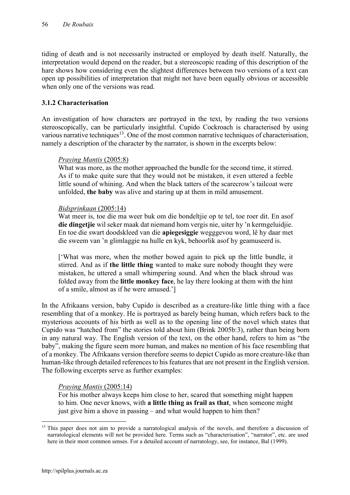tiding of death and is not necessarily instructed or employed by death itself. Naturally, the interpretation would depend on the reader, but a stereoscopic reading of this description of the hare shows how considering even the slightest differences between two versions of a text can open up possibilities of interpretation that might not have been equally obvious or accessible when only one of the versions was read.

## 3.1.2 Characterisation

An investigation of how characters are portrayed in the text, by reading the two versions stereoscopically, can be particularly insightful. Cupido Cockroach is characterised by using various narrative techniques<sup>13</sup>. One of the most common narrative techniques of characterisation, namely a description of the character by the narrator, is shown in the excerpts below:

#### *Praying Mantis* (2005:8)

What was more, as the mother approached the bundle for the second time, it stirred. As if to make quite sure that they would not be mistaken, it even uttered a feeble little sound of whining. And when the black tatters of the scarecrow's tailcoat were unfolded, the baby was alive and staring up at them in mild amusement.

#### *Bidsprinkaan* (2005:14)

Wat meer is, toe die ma weer buk om die bondeltjie op te tel, toe roer dit. En asof die dingetije wil seker maak dat niemand hom vergis nie, uiter hy 'n kermgeluidije. En toe die swart doodskleed van die apiegesiggie wegggevou word, lê hy daar met die sweem van 'n glimlaggie na hulle en kyk, behoorlik asof hy geamuseerd is.

['What was more, when the mother bowed again to pick up the little bundle, it stirred. And as if the little thing wanted to make sure nobody thought they were mistaken, he uttered a small whimpering sound. And when the black shroud was folded away from the little monkey face, he lay there looking at them with the hint of a smile, almost as if he were amused.']

In the Afrikaans version, baby Cupido is described as a creature-like little thing with a face resembling that of a monkey. He is portrayed as barely being human, which refers back to the mysterious accounts of his birth as well as to the opening line of the novel which states that Cupido was "hatched from" the stories told about him (Brink 2005b:3), rather than being born in any natural way. The English version of the text, on the other hand, refers to him as "the baby", making the figure seem more human, and makes no mention of his face resembling that of a monkey. The Afrikaans version therefore seems to depict Cupido as more creature-like than human-like through detailed references to his features that are not present in the English version. The following excerpts serve as further examples:

## *Praying Mantis* (2005:14)

For his mother always keeps him close to her, scared that something might happen to him. One never knows, with a little thing as frail as that, when someone might just give him a shove in passing – and what would happen to him then?

1

<sup>&</sup>lt;sup>13</sup> This paper does not aim to provide a narratological analysis of the novels, and therefore a discussion of narratological elements will not be provided here. Terms such as "characterisation", "narrator", etc. are used here in their most common senses. For a detailed account of narratology, see, for instance, Bal (1999).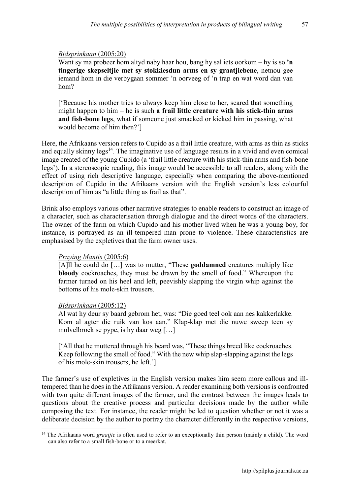#### *Bidsprinkaan* (2005:20)

Want sy ma probeer hom altyd naby haar hou, bang hy sal iets oorkom – hy is so 'n tingerige skepseltjie met sy stokkiesdun arms en sy graatjiebene, netnou gee iemand hom in die verbygaan sommer 'n oorveeg of 'n trap en wat word dan van hom?

['Because his mother tries to always keep him close to her, scared that something might happen to him – he is such a frail little creature with his stick-thin arms and fish-bone legs, what if someone just smacked or kicked him in passing, what would become of him then?']

Here, the Afrikaans version refers to Cupido as a frail little creature, with arms as thin as sticks and equally skinny legs<sup>14</sup>. The imaginative use of language results in a vivid and even comical image created of the young Cupido (a 'frail little creature with his stick-thin arms and fish-bone legs'). In a stereoscopic reading, this image would be accessible to all readers, along with the effect of using rich descriptive language, especially when comparing the above-mentioned description of Cupido in the Afrikaans version with the English version's less colourful description of him as "a little thing as frail as that".

Brink also employs various other narrative strategies to enable readers to construct an image of a character, such as characterisation through dialogue and the direct words of the characters. The owner of the farm on which Cupido and his mother lived when he was a young boy, for instance, is portrayed as an ill-tempered man prone to violence. These characteristics are emphasised by the expletives that the farm owner uses.

## *Praying Mantis* (2005:6)

[A]ll he could do [...] was to mutter, "These **goddamned** creatures multiply like bloody cockroaches, they must be drawn by the smell of food." Whereupon the farmer turned on his heel and left, peevishly slapping the virgin whip against the bottoms of his mole-skin trousers.

#### *Bidsprinkaan* (2005:12)

Al wat hy deur sy baard gebrom het, was: "Die goed teel ook aan nes kakkerlakke. Kom al agter die ruik van kos aan." Klap-klap met die nuwe sweep teen sy molvelbroek se pype, is hy daar weg […]

['All that he muttered through his beard was, "These things breed like cockroaches. Keep following the smell of food." With the new whip slap-slapping against the legs of his mole-skin trousers, he left.']

The farmer's use of expletives in the English version makes him seem more callous and illtempered than he does in the Afrikaans version. A reader examining both versions is confronted with two quite different images of the farmer, and the contrast between the images leads to questions about the creative process and particular decisions made by the author while composing the text. For instance, the reader might be led to question whether or not it was a deliberate decision by the author to portray the character differently in the respective versions,

<sup>1</sup> <sup>14</sup> The Afrikaans word *graatjie* is often used to refer to an exceptionally thin person (mainly a child). The word can also refer to a small fish-bone or to a meerkat.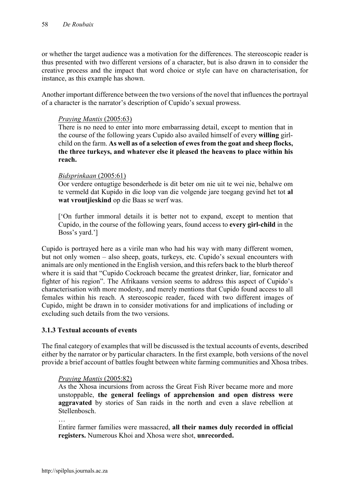or whether the target audience was a motivation for the differences. The stereoscopic reader is thus presented with two different versions of a character, but is also drawn in to consider the creative process and the impact that word choice or style can have on characterisation, for instance, as this example has shown.

Another important difference between the two versions of the novel that influences the portrayal of a character is the narrator's description of Cupido's sexual prowess.

#### *Praying Mantis* (2005:63)

There is no need to enter into more embarrassing detail, except to mention that in the course of the following years Cupido also availed himself of every willing girlchild on the farm. As well as of a selection of ewes from the goat and sheep flocks, the three turkeys, and whatever else it pleased the heavens to place within his reach.

#### *Bidsprinkaan* (2005:61)

Oor verdere ontugtige besonderhede is dit beter om nie uit te wei nie, behalwe om te vermeld dat Kupido in die loop van die volgende jare toegang gevind het tot al wat vroutjieskind op die Baas se werf was.

['On further immoral details it is better not to expand, except to mention that Cupido, in the course of the following years, found access to every girl-child in the Boss's yard.']

Cupido is portrayed here as a virile man who had his way with many different women, but not only women – also sheep, goats, turkeys, etc. Cupido's sexual encounters with animals are only mentioned in the English version, and this refers back to the blurb thereof where it is said that "Cupido Cockroach became the greatest drinker, liar, fornicator and fighter of his region". The Afrikaans version seems to address this aspect of Cupido's characterisation with more modesty, and merely mentions that Cupido found access to all females within his reach. A stereoscopic reader, faced with two different images of Cupido, might be drawn in to consider motivations for and implications of including or excluding such details from the two versions.

## 3.1.3 Textual accounts of events

The final category of examples that will be discussed is the textual accounts of events, described either by the narrator or by particular characters. In the first example, both versions of the novel provide a brief account of battles fought between white farming communities and Xhosa tribes.

#### *Praying Mantis* (2005:82)

As the Xhosa incursions from across the Great Fish River became more and more unstoppable, the general feelings of apprehension and open distress were aggravated by stories of San raids in the north and even a slave rebellion at Stellenbosch.

…

Entire farmer families were massacred, all their names duly recorded in official registers. Numerous Khoi and Xhosa were shot, unrecorded.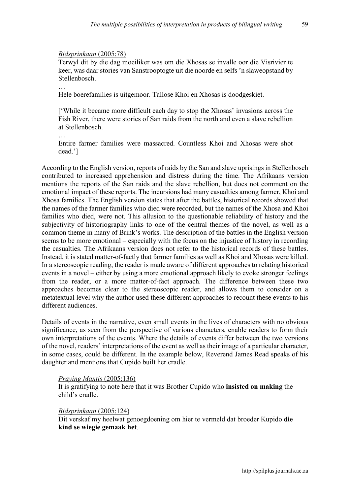#### *Bidsprinkaan* (2005:78)

Terwyl dit by die dag moeiliker was om die Xhosas se invalle oor die Visrivier te keer, was daar stories van Sanstrooptogte uit die noorde en selfs 'n slaweopstand by Stellenbosch.

…

Hele boerefamilies is uitgemoor. Tallose Khoi en Xhosas is doodgeskiet.

['While it became more difficult each day to stop the Xhosas' invasions across the Fish River, there were stories of San raids from the north and even a slave rebellion at Stellenbosch.

… Entire farmer families were massacred. Countless Khoi and Xhosas were shot dead.']

According to the English version, reports of raids by the San and slave uprisings in Stellenbosch contributed to increased apprehension and distress during the time. The Afrikaans version mentions the reports of the San raids and the slave rebellion, but does not comment on the emotional impact of these reports. The incursions had many casualties among farmer, Khoi and Xhosa families. The English version states that after the battles, historical records showed that the names of the farmer families who died were recorded, but the names of the Xhosa and Khoi families who died, were not. This allusion to the questionable reliability of history and the subjectivity of historiography links to one of the central themes of the novel, as well as a common theme in many of Brink's works. The description of the battles in the English version seems to be more emotional – especially with the focus on the injustice of history in recording the casualties. The Afrikaans version does not refer to the historical records of these battles. Instead, it is stated matter-of-factly that farmer families as well as Khoi and Xhosas were killed. In a stereoscopic reading, the reader is made aware of different approaches to relating historical events in a novel – either by using a more emotional approach likely to evoke stronger feelings from the reader, or a more matter-of-fact approach. The difference between these two approaches becomes clear to the stereoscopic reader, and allows them to consider on a metatextual level why the author used these different approaches to recount these events to his different audiences.

Details of events in the narrative, even small events in the lives of characters with no obvious significance, as seen from the perspective of various characters, enable readers to form their own interpretations of the events. Where the details of events differ between the two versions of the novel, readers' interpretations of the event as well as their image of a particular character, in some cases, could be different. In the example below, Reverend James Read speaks of his daughter and mentions that Cupido built her cradle.

#### *Praying Mantis* (2005:136)

It is gratifying to note here that it was Brother Cupido who insisted on making the child's cradle.

#### *Bidsprinkaan* (2005:124)

Dit verskaf my heelwat genoegdoening om hier te vermeld dat broeder Kupido die kind se wiegie gemaak het.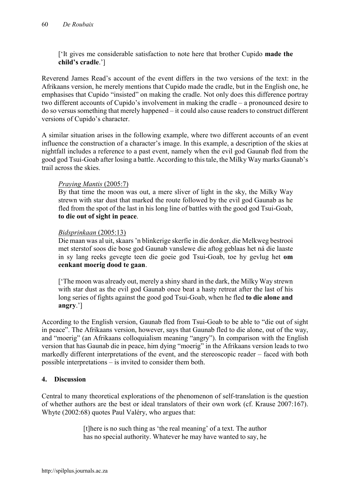['It gives me considerable satisfaction to note here that brother Cupido made the child's cradle.']

Reverend James Read's account of the event differs in the two versions of the text: in the Afrikaans version, he merely mentions that Cupido made the cradle, but in the English one, he emphasises that Cupido "insisted" on making the cradle. Not only does this difference portray two different accounts of Cupido's involvement in making the cradle – a pronounced desire to do so versus something that merely happened – it could also cause readers to construct different versions of Cupido's character.

A similar situation arises in the following example, where two different accounts of an event influence the construction of a character's image. In this example, a description of the skies at nightfall includes a reference to a past event, namely when the evil god Gaunab fled from the good god Tsui-Goab after losing a battle. According to this tale, the Milky Way marks Gaunab's trail across the skies.

## *Praying Mantis* (2005:7)

By that time the moon was out, a mere sliver of light in the sky, the Milky Way strewn with star dust that marked the route followed by the evil god Gaunab as he fled from the spot of the last in his long line of battles with the good god Tsui-Goab, to die out of sight in peace.

## *Bidsprinkaan* (2005:13)

Die maan was al uit, skaars 'n blinkerige skerfie in die donker, die Melkweg bestrooi met sterstof soos die bose god Gaunab vanslewe die aftog geblaas het ná die laaste in sy lang reeks gevegte teen die goeie god Tsui-Goab, toe hy gevlug het om eenkant moerig dood te gaan.

['The moon was already out, merely a shiny shard in the dark, the Milky Way strewn with star dust as the evil god Gaunab once beat a hasty retreat after the last of his long series of fights against the good god Tsui-Goab, when he fled to die alone and angry.']

According to the English version, Gaunab fled from Tsui-Goab to be able to "die out of sight in peace". The Afrikaans version, however, says that Gaunab fled to die alone, out of the way, and "moerig" (an Afrikaans colloquialism meaning "angry"). In comparison with the English version that has Gaunab die in peace, him dying "moerig" in the Afrikaans version leads to two markedly different interpretations of the event, and the stereoscopic reader – faced with both possible interpretations – is invited to consider them both.

## 4. Discussion

Central to many theoretical explorations of the phenomenon of self-translation is the question of whether authors are the best or ideal translators of their own work (cf. Krause 2007:167). Whyte (2002:68) quotes Paul Valéry, who argues that:

> [t]here is no such thing as 'the real meaning' of a text. The author has no special authority. Whatever he may have wanted to say, he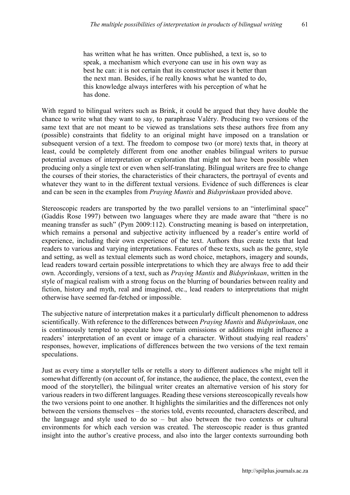has written what he has written. Once published, a text is, so to speak, a mechanism which everyone can use in his own way as best he can: it is not certain that its constructor uses it better than the next man. Besides, if he really knows what he wanted to do, this knowledge always interferes with his perception of what he has done.

With regard to bilingual writers such as Brink, it could be argued that they have double the chance to write what they want to say, to paraphrase Valéry. Producing two versions of the same text that are not meant to be viewed as translations sets these authors free from any (possible) constraints that fidelity to an original might have imposed on a translation or subsequent version of a text. The freedom to compose two (or more) texts that, in theory at least, could be completely different from one another enables bilingual writers to pursue potential avenues of interpretation or exploration that might not have been possible when producing only a single text or even when self-translating. Bilingual writers are free to change the courses of their stories, the characteristics of their characters, the portrayal of events and whatever they want to in the different textual versions. Evidence of such differences is clear and can be seen in the examples from *Praying Mantis* and *Bidsprinkaan* provided above.

Stereoscopic readers are transported by the two parallel versions to an "interliminal space" (Gaddis Rose 1997) between two languages where they are made aware that "there is no meaning transfer as such" (Pym 2009:112). Constructing meaning is based on interpretation, which remains a personal and subjective activity influenced by a reader's entire world of experience, including their own experience of the text. Authors thus create texts that lead readers to various and varying interpretations. Features of these texts, such as the genre, style and setting, as well as textual elements such as word choice, metaphors, imagery and sounds, lead readers toward certain possible interpretations to which they are always free to add their own. Accordingly, versions of a text, such as *Praying Mantis* and *Bidsprinkaan*, written in the style of magical realism with a strong focus on the blurring of boundaries between reality and fiction, history and myth, real and imagined, etc., lead readers to interpretations that might otherwise have seemed far-fetched or impossible.

The subjective nature of interpretation makes it a particularly difficult phenomenon to address scientifically. With reference to the differences between *Praying Mantis* and *Bidsprinkaan*, one is continuously tempted to speculate how certain omissions or additions might influence a readers' interpretation of an event or image of a character. Without studying real readers' responses, however, implications of differences between the two versions of the text remain speculations.

Just as every time a storyteller tells or retells a story to different audiences s/he might tell it somewhat differently (on account of, for instance, the audience, the place, the context, even the mood of the storyteller), the bilingual writer creates an alternative version of his story for various readers in two different languages. Reading these versions stereoscopically reveals how the two versions point to one another. It highlights the similarities and the differences not only between the versions themselves – the stories told, events recounted, characters described, and the language and style used to do so – but also between the two contexts or cultural environments for which each version was created. The stereoscopic reader is thus granted insight into the author's creative process, and also into the larger contexts surrounding both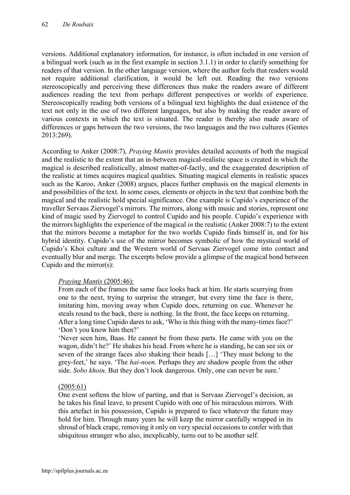versions. Additional explanatory information, for instance, is often included in one version of a bilingual work (such as in the first example in section 3.1.1) in order to clarify something for readers of that version. In the other language version, where the author feels that readers would not require additional clarification, it would be left out. Reading the two versions stereoscopically and perceiving these differences thus make the readers aware of different audiences reading the text from perhaps different perspectives or worlds of experience. Stereoscopically reading both versions of a bilingual text highlights the dual existence of the text not only in the use of two different languages, but also by making the reader aware of various contexts in which the text is situated. The reader is thereby also made aware of differences or gaps between the two versions, the two languages and the two cultures (Gentes 2013:269).

According to Anker (2008:7), *Praying Mantis* provides detailed accounts of both the magical and the realistic to the extent that an in-between magical-realistic space is created in which the magical is described realistically, almost matter-of-factly, and the exaggerated description of the realistic at times acquires magical qualities. Situating magical elements in realistic spaces such as the Karoo, Anker (2008) argues, places further emphasis on the magical elements in and possibilities of the text. In some cases, elements or objects in the text that combine both the magical and the realistic hold special significance. One example is Cupido's experience of the traveller Servaas Ziervogel's mirrors. The mirrors, along with music and stories, represent one kind of magic used by Ziervogel to control Cupido and his people. Cupido's experience with the mirrors highlights the experience of the magical *in* the realistic (Anker 2008:7) to the extent that the mirrors become a metaphor for the two worlds Cupido finds himself in, and for his hybrid identity. Cupido's use of the mirror becomes symbolic of how the mystical world of Cupido's Khoi culture and the Western world of Servaas Ziervogel come into contact and eventually blur and merge. The excerpts below provide a glimpse of the magical bond between Cupido and the mirror(s):

## *Praying Mantis* (2005:46):

From each of the frames the same face looks back at him. He starts scurrying from one to the next, trying to surprise the stranger, but every time the face is there, imitating him, moving away when Cupido does, returning on cue. Whenever he steals round to the back, there is nothing. In the front, the face keeps on returning. After a long time Cupido dares to ask, 'Who is this thing with the many-times face?' 'Don't you know him then?'

'Never seen him, Baas. He cannot be from these parts. He came with you on the wagon, didn't he?' He shakes his head. From where he is standing, he can see six or seven of the strange faces also shaking their heads […] 'They must belong to the grey-feet,' he says. 'The *hai-noen*. Perhaps they are shadow people from the other side. *Sobo khoin*. But they don't look dangerous. Only, one can never be sure.'

## (2005:61)

One event softens the blow of parting, and that is Servaas Ziervogel's decision, as he takes his final leave, to present Cupido with one of his miraculous mirrors. With this artefact in his possession, Cupido is prepared to face whatever the future may hold for him. Through many years he will keep the mirror carefully wrapped in its shroud of black crape, removing it only on very special occasions to confer with that ubiquitous stranger who also, inexplicably, turns out to be another self.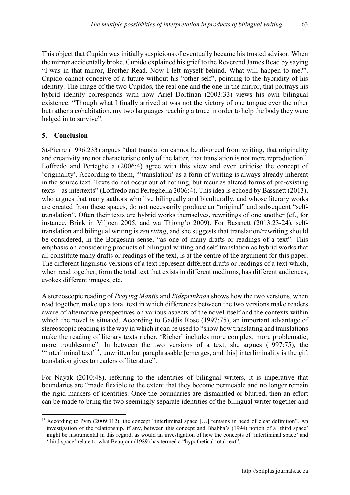This object that Cupido was initially suspicious of eventually became his trusted advisor. When the mirror accidentally broke, Cupido explained his grief to the Reverend James Read by saying "I was in that mirror, Brother Read. Now I left myself behind. What will happen to me?". Cupido cannot conceive of a future without his "other self", pointing to the hybridity of his identity. The image of the two Cupidos, the real one and the one in the mirror, that portrays his hybrid identity corresponds with how Ariel Dorfman (2003:33) views his own bilingual existence: "Though what I finally arrived at was not the victory of one tongue over the other but rather a cohabitation, my two languages reaching a truce in order to help the body they were lodged in to survive".

## 5. Conclusion

St-Pierre (1996:233) argues "that translation cannot be divorced from writing, that originality and creativity are not characteristic only of the latter, that translation is not mere reproduction". Loffredo and Perteghella (2006:4) agree with this view and even criticise the concept of 'originality'. According to them, "'translation' as a form of writing is always already inherent in the source text. Texts do not occur out of nothing, but recur as altered forms of pre-existing texts – as intertexts" (Loffredo and Perteghella 2006:4). This idea is echoed by Bassnett (2013), who argues that many authors who live bilingually and biculturally, and whose literary works are created from these spaces, do not necessarily produce an "original" and subsequent "selftranslation". Often their texts are hybrid works themselves, rewritings of one another (cf., for instance, Brink in Viljoen 2005, and wa Thiong'o 2009). For Bassnett (2013:23-24), selftranslation and bilingual writing is *rewriting*, and she suggests that translation/rewriting should be considered, in the Borgesian sense, "as one of many drafts or readings of a text". This emphasis on considering products of bilingual writing and self-translation as hybrid works that all constitute many drafts or readings of the text, is at the centre of the argument for this paper. The different linguistic versions of a text represent different drafts or readings of a text which, when read together, form the total text that exists in different mediums, has different audiences, evokes different images, etc.

A stereoscopic reading of *Praying Mantis* and *Bidsprinkaan* shows how the two versions, when read together, make up a total text in which differences between the two versions make readers aware of alternative perspectives on various aspects of the novel itself and the contexts within which the novel is situated. According to Gaddis Rose (1997:75), an important advantage of stereoscopic reading is the way in which it can be used to "show how translating and translations make the reading of literary texts richer. 'Richer' includes more complex, more problematic, more troublesome". In between the two versions of a text, she argues (1997:75), the "interliminal text'<sup>15</sup>, unwritten but paraphrasable [emerges, and this] interliminality is the gift translation gives to readers of literature".

For Nayak (2010:48), referring to the identities of bilingual writers, it is imperative that boundaries are "made flexible to the extent that they become permeable and no longer remain the rigid markers of identities. Once the boundaries are dismantled or blurred, then an effort can be made to bring the two seemingly separate identities of the bilingual writer together and

**<sup>.</sup>** <sup>15</sup> According to Pym (2009:112), the concept "interliminal space [...] remains in need of clear definition". An investigation of the relationship, if any, between this concept and Bhabha's (1994) notion of a 'third space' might be instrumental in this regard, as would an investigation of how the concepts of 'interliminal space' and 'third space' relate to what Beaujour (1989) has termed a "hypothetical total text".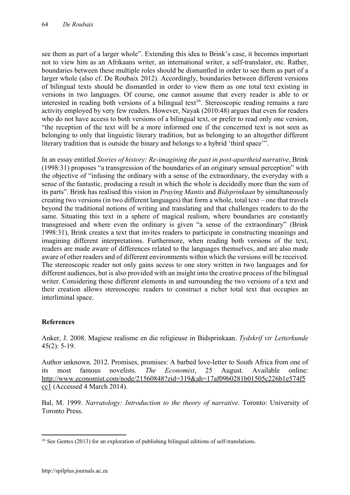see them as part of a larger whole". Extending this idea to Brink's case, it becomes important not to view him as an Afrikaans writer, an international writer, a self-translator, etc. Rather, boundaries between these multiple roles should be dismantled in order to see them as part of a larger whole (also cf. De Roubaix 2012). Accordingly, boundaries between different versions of bilingual texts should be dismantled in order to view them as one total text existing in versions in two languages. Of course, one cannot assume that every reader is able to or interested in reading both versions of a bilingual text<sup>16</sup>. Stereoscopic reading remains a rare activity employed by very few readers. However, Nayak (2010:48) argues that even for readers who do not have access to both versions of a bilingual text, or prefer to read only one version, "the reception of the text will be a more informed one if the concerned text is not seen as belonging to only that linguistic literary tradition, but as belonging to an altogether different literary tradition that is outside the binary and belongs to a hybrid 'third space'".

In an essay entitled *Stories of history: Re-imagining the past in post-apartheid narrative*, Brink (1998:31) proposes "a transgression of the boundaries of an originary sensual perception" with the objective of "infusing the ordinary with a sense of the extraordinary, the everyday with a sense of the fantastic, producing a result in which the whole is decidedly more than the sum of its parts". Brink has realised this vision in *Praying Mantis* and *Bidsprinkaan* by simultaneously creating two versions (in two different languages) that form a whole, total text – one that travels beyond the traditional notions of writing and translating and that challenges readers to do the same. Situating this text in a sphere of magical realism, where boundaries are constantly transgressed and where even the ordinary is given "a sense of the extraordinary" (Brink 1998:31), Brink creates a text that invites readers to participate in constructing meanings and imagining different interpretations. Furthermore, when reading both versions of the text, readers are made aware of differences related to the languages themselves, and are also made aware of other readers and of different environments within which the versions will be received. The stereoscopic reader not only gains access to one story written in two languages and for different audiences, but is also provided with an insight into the creative process of the bilingual writer. Considering these different elements in and surrounding the two versions of a text and their creation allows stereoscopic readers to construct a richer total text that occupies an interliminal space.

## References

Anker, J. 2008. Magiese realisme en die religieuse in Bidsprinkaan. *Tydskrif vir Letterkunde*  45(2): 5-19.

Author unknown. 2012. Promises, promises: A barbed love-letter to South Africa from one of its most famous novelists. *The Economist*, 25 August. Available online: [http://www.economist.com/node/21560848?zid=319&ah=17af09b0281b01505c226b1e574f5](http://www.economist.com/node/21560848?zid=319&ah=17af09b0281b01505c226b1e574f5cc1) [cc1](http://www.economist.com/node/21560848?zid=319&ah=17af09b0281b01505c226b1e574f5cc1) (Accessed 4 March 2014).

Bal, M. 1999. *Narratology: Introduction to the theory of narrative*. Toronto: University of Toronto Press.

 $\overline{a}$ <sup>16</sup> See Gentes (2013) for an exploration of publishing bilingual editions of self-translations.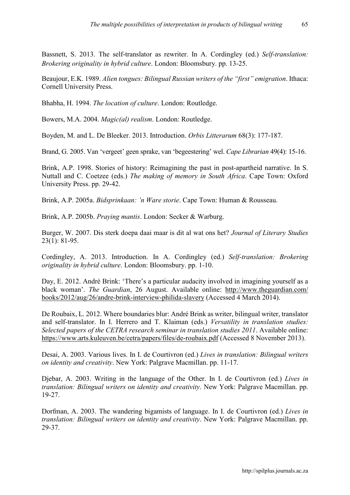Bassnett, S. 2013. The self-translator as rewriter. In A. Cordingley (ed.) *Self-translation: Brokering originality in hybrid culture*. London: Bloomsbury. pp. 13-25.

Beaujour, E.K. 1989. *Alien tongues: Bilingual Russian writers of the "first" emigration*. Ithaca: Cornell University Press.

Bhabha, H. 1994. *The location of culture*. London: Routledge.

Bowers, M.A. 2004. *Magic(al) realism*. London: Routledge.

Boyden, M. and L. De Bleeker. 2013. Introduction. *Orbis Litterarum* 68(3): 177-187.

Brand, G. 2005. Van 'vergeet' geen sprake, van 'begeestering' wel. *Cape Librarian* 49(4): 15-16.

Brink, A.P. 1998. Stories of history: Reimagining the past in post-apartheid narrative. In S. Nuttall and C. Coetzee (eds.) *The making of memory in South Africa*. Cape Town: Oxford University Press. pp. 29-42.

Brink, A.P. 2005a. *Bidsprinkaan: 'n Ware storie*. Cape Town: Human & Rousseau.

Brink, A.P. 2005b. *Praying mantis*. London: Secker & Warburg.

Burger, W. 2007. Dis sterk doepa daai maar is dit al wat ons het? *Journal of Literary Studies*  23(1): 81-95.

Cordingley, A. 2013. Introduction. In A. Cordingley (ed.) *Self-translation: Brokering originality in hybrid culture*. London: Bloomsbury. pp. 1-10.

Day, E. 2012. André Brink: 'There's a particular audacity involved in imagining yourself as a black woman'. *The Guardian*, 26 August. Available online: [http://www.theguardian.com/](http://www.theguardian.com/ books/2012/aug/26/andre-brink-interview-philida-slavery)  [books/2012/aug/26/andre-brink-interview-philida-slavery](http://www.theguardian.com/ books/2012/aug/26/andre-brink-interview-philida-slavery) (Accessed 4 March 2014).

De Roubaix, L. 2012. Where boundaries blur: André Brink as writer, bilingual writer, translator and self-translator. In I. Herrero and T. Klaiman (eds.) *Versatility in translation studies: Selected papers of the CETRA research seminar in translation studies 2011*. Available online: https://www.arts.kuleuven.be/cetra/papers/files/de-roubaix.pdf (Accessed 8 November 2013).

Desai, A. 2003. Various lives. In I. de Courtivron (ed.) *Lives in translation: Bilingual writers on identity and creativity*. New York: Palgrave Macmillan. pp. 11-17.

Djebar, A. 2003. Writing in the language of the Other. In I. de Courtivron (ed.) *Lives in translation: Bilingual writers on identity and creativity*. New York: Palgrave Macmillan. pp. 19-27.

Dorfman, A. 2003. The wandering bigamists of language. In I. de Courtivron (ed.) *Lives in translation: Bilingual writers on identity and creativity*. New York: Palgrave Macmillan. pp. 29-37.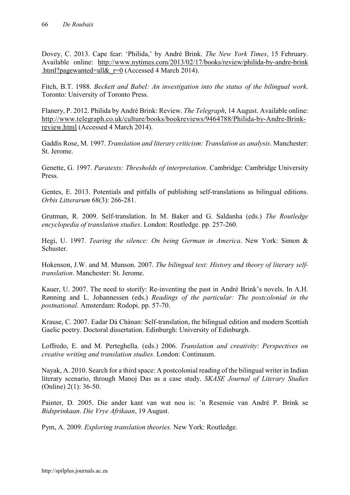Dovey, C. 2013. Cape fear: 'Philida,' by André Brink. *The New York Times*, 15 February. Available online: [http://www.nytimes.com/2013/02/17/books/review/philida-by-andre-brink](http://www.nytimes.com/2013/02/17/books/review/philida-by-andre-brink .html?pagewanted=all&_r=0)  .html?pagewanted=all& $r=0$  (Accessed 4 March 2014).

Fitch, B.T. 1988. *Beckett and Babel: An investigation into the status of the bilingual work*. Toronto: University of Toronto Press.

Flanery, P. 2012. Philida by André Brink: Review. *The Telegraph*, 14 August. Available online: [http://www.telegraph.co.uk/culture/books/bookreviews/9464788/Philida-by-Andre-Brink](http://www.telegraph.co.uk/culture/books/bookreviews/9464788/Philida-by-Andre-Brink-review.html)[review.html](http://www.telegraph.co.uk/culture/books/bookreviews/9464788/Philida-by-Andre-Brink-review.html) (Accessed 4 March 2014).

Gaddis Rose, M. 1997. *Translation and literary criticism: Translation as analysis*. Manchester: St. Jerome.

Genette, G. 1997. *Paratexts: Thresholds of interpretation*. Cambridge: Cambridge University Press.

Gentes, E. 2013. Potentials and pitfalls of publishing self-translations as bilingual editions. *Orbis Litterarum* 68(3): 266-281.

Grutman, R. 2009. Self-translation. In M. Baker and G. Saldanha (eds.) *The Routledge encyclopedia of translation studies*. London: Routledge. pp. 257-260.

Hegi, U. 1997. *Tearing the silence: On being German in America*. New York: Simon & **Schuster** 

Hokenson, J.W. and M. Munson. 2007. *The bilingual text: History and theory of literary selftranslation*. Manchester: St. Jerome.

Kauer, U. 2007. The need to storify: Re-inventing the past in André Brink's novels. In A.H. Rønning and L. Johannessen (eds.) *Readings of the particular: The postcolonial in the postnational*. Amsterdam: Rodopi. pp. 57-70.

Krause, C. 2007. Eadar Dà Chànan: Self-translation, the bilingual edition and modern Scottish Gaelic poetry. Doctoral dissertation. Edinburgh: University of Edinburgh.

Loffredo, E. and M. Perteghella. (eds.) 2006. *Translation and creativity*: *Perspectives on creative writing and translation studies*. London: Continuum.

Nayak, A. 2010. Search for a third space: A postcolonial reading of the bilingual writer in Indian literary scenario, through Manoj Das as a case study. *SKASE Journal of Literary Studies* (Online) 2(1): 36-50.

Painter, D. 2005. Die ander kant van wat nou is: 'n Resensie van André P. Brink se *Bidsprinkaan*. *Die Vrye Afrikaan*, 19 August.

Pym, A. 2009. *Exploring translation theories*. New York: Routledge.